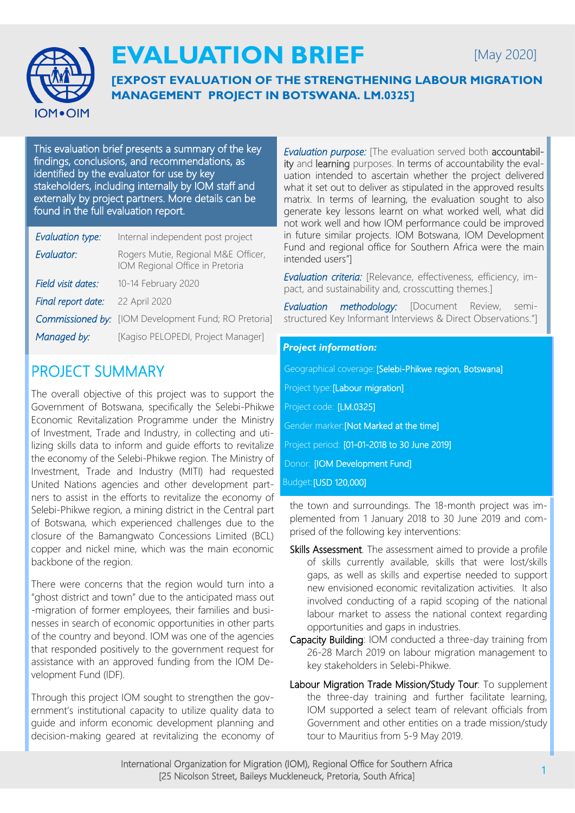

# **EVALUATION BRIEF**

[May 2020]

**[EXPOST EVALUATION OF THE STRENGTHENING LABOUR MIGRATION MANAGEMENT PROJECT IN BOTSWANA. LM.0325]**

This evaluation brief presents a summary of the key findings, conclusions, and recommendations, as identified by the evaluator for use by key stakeholders, including internally by IOM staff and externally by project partners. More details can be found in the full evaluation report.

| <b>Evaluation type:</b> | Internal independent post project                                      |
|-------------------------|------------------------------------------------------------------------|
| Evaluator:              | Rogers Mutie, Regional M&E Officer,<br>IOM Regional Office in Pretoria |
| Field visit dates:      | 10-14 February 2020                                                    |
| Final report date:      | 22 April 2020                                                          |
|                         | <b>Commissioned by:</b> [IOM Development Fund; RO Pretoria]            |
| Managed by:             | [Kagiso PELOPEDI, Project Manager]                                     |

## PROJECT SUMMARY

The overall objective of this project was to support the Government of Botswana, specifically the Selebi-Phikwe Economic Revitalization Programme under the Ministry of Investment, Trade and Industry, in collecting and utilizing skills data to inform and guide efforts to revitalize the economy of the Selebi-Phikwe region. The Ministry of Investment, Trade and Industry (MITI) had requested United Nations agencies and other development partners to assist in the efforts to revitalize the economy of Selebi-Phikwe region, a mining district in the Central part of Botswana, which experienced challenges due to the closure of the Bamangwato Concessions Limited (BCL) copper and nickel mine, which was the main economic backbone of the region.

There were concerns that the region would turn into a "ghost district and town" due to the anticipated mass out -migration of former employees, their families and businesses in search of economic opportunities in other parts of the country and beyond. IOM was one of the agencies that responded positively to the government request for assistance with an approved funding from the IOM Development Fund (IDF).

Through this project IOM sought to strengthen the government's institutional capacity to utilize quality data to guide and inform economic development planning and decision-making geared at revitalizing the economy of *Evaluation purpose:* [The evaluation served both accountability and learning purposes. In terms of accountability the evaluation intended to ascertain whether the project delivered what it set out to deliver as stipulated in the approved results matrix. In terms of learning, the evaluation sought to also generate key lessons learnt on what worked well, what did not work well and how IOM performance could be improved in future similar projects. IOM Botswana, IOM Development Fund and regional office for Southern Africa were the main intended users"]

*Evaluation criteria:* [Relevance, effectiveness, efficiency, impact, and sustainability and, crosscutting themes.]

*Evaluation methodology:* [Document Review, semistructured Key Informant Interviews & Direct Observations."]

#### *Project information:*

| Geographical coverage: [Selebi-Phikwe region, Botswana] |
|---------------------------------------------------------|
| Project type: [Labour migration]                        |
| Project code: [LM.0325]                                 |
| Gender marker: [Not Marked at the time]                 |
| Project period: [01-01-2018 to 30 June 2019]            |
| Donor: [IOM Development Fund]                           |
| Budget: [USD 120,000]                                   |
|                                                         |

the town and surroundings. The 18-month project was implemented from 1 January 2018 to 30 June 2019 and comprised of the following key interventions:

- Skills Assessment. The assessment aimed to provide a profile of skills currently available, skills that were lost/skills gaps, as well as skills and expertise needed to support new envisioned economic revitalization activities. It also involved conducting of a rapid scoping of the national labour market to assess the national context regarding opportunities and gaps in industries.
- Capacity Building: IOM conducted a three-day training from 26-28 March 2019 on labour migration management to key stakeholders in Selebi-Phikwe.
- Labour Migration Trade Mission/Study Tour: To supplement the three-day training and further facilitate learning, IOM supported a select team of relevant officials from Government and other entities on a trade mission/study tour to Mauritius from 5-9 May 2019.

International Organization for Migration (IOM), Regional Office for Southern Africa [25 Nicolson Street, Baileys Muckleneuck, Pretoria, South Africa]